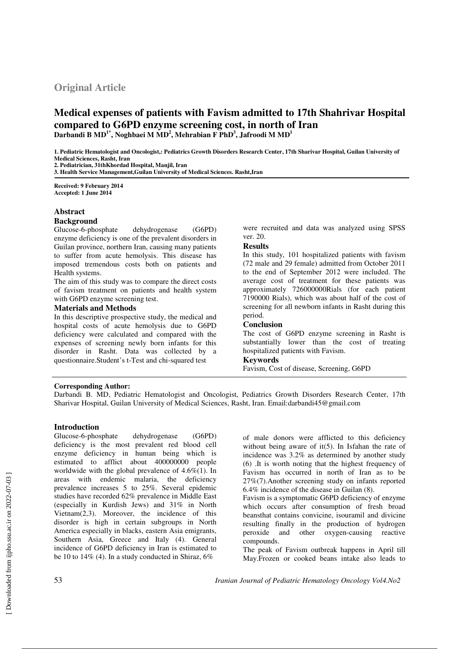# **Original Article**

# **Medical expenses of patients with Favism admitted to 17th Shahrivar Hospital compared to G6PD enzyme screening cost, in north of Iran Darbandi B MD1\*, Noghbaei M MD<sup>2</sup> , Mehrabian F PhD<sup>3</sup> , Jafroodi M MD<sup>1</sup>**

**1. Pediatric Hematologist and Oncologist,: Pediatrics Growth Disorders Research Center, 17th Sharivar Hospital, Guilan University of Medical Sciences, Rasht, Iran** 

**2. Pediatrician, 31thKhordad Hospital, Manjil, Iran**

**3. Health Service Management,Guilan University of Medical Sciences. Rasht,Iran** 

**Received: 9 February 2014 Accepted: 1 June 2014**

# **Abstract**

# **Background**

Glucose-6-phosphate dehydrogenase (G6PD) enzyme deficiency is one of the prevalent disorders in Guilan province, northern Iran, causing many patients to suffer from acute hemolysis. This disease has imposed tremendous costs both on patients and Health systems.

The aim of this study was to compare the direct costs of favism treatment on patients and health system with G6PD enzyme screening test.

# **Materials and Methods**

In this descriptive prospective study, the medical and hospital costs of acute hemolysis due to G6PD deficiency were calculated and compared with the expenses of screening newly born infants for this disorder in Rasht. Data was collected by a questionnaire.Student's t-Test and chi-squared test

were recruited and data was analyzed using SPSS ver. 20.

# **Results**

In this study, 101 hospitalized patients with favism (72 male and 29 female) admitted from October 2011 to the end of September 2012 were included. The average cost of treatment for these patients was approximately 726000000Rials (for each patient 7190000 Rials), which was about half of the cost of screening for all newborn infants in Rasht during this period.

# **Conclusion**

The cost of G6PD enzyme screening in Rasht is substantially lower than the cost of treating hospitalized patients with Favism.

# **Keywords**

Favism, Cost of disease, Screening, G6PD

## **Corresponding Author:**

Darbandi B. MD, Pediatric Hematologist and Oncologist, Pediatrics Growth Disorders Research Center, 17th Sharivar Hospital, Guilan University of Medical Sciences, Rasht, Iran. Email:darbandi45@gmail.com

# **Introduction**

Glucose-6-phosphate dehydrogenase (G6PD) deficiency is the most prevalent red blood cell enzyme deficiency in human being which is estimated to afflict about 400000000 people worldwide with the global prevalence of  $4.6\%(1)$ . In areas with endemic malaria, the deficiency prevalence increases 5 to 25%. Several epidemic studies have recorded 62% prevalence in Middle East (especially in Kurdish Jews) and 31% in North Vietnam(2,3). Moreover, the incidence of this disorder is high in certain subgroups in North America especially in blacks, eastern Asia emigrants, Southern Asia, Greece and Italy (4). General incidence of G6PD deficiency in Iran is estimated to be 10 to 14% (4). In a study conducted in Shiraz, 6%

of male donors were afflicted to this deficiency without being aware of  $it(5)$ . In Isfahan the rate of incidence was 3.2% as determined by another study (6) .It is worth noting that the highest frequency of Favism has occurred in north of Iran as to be 27%(7).Another screening study on infants reported 6.4% incidence of the disease in Guilan (8).

Favism is a symptomatic G6PD deficiency of enzyme which occurs after consumption of fresh broad beansthat contains convicine, isouramil and divicine resulting finally in the production of hydrogen peroxide and other oxygen-causing reactive compounds.

The peak of Favism outbreak happens in April till May.Frozen or cooked beans intake also leads to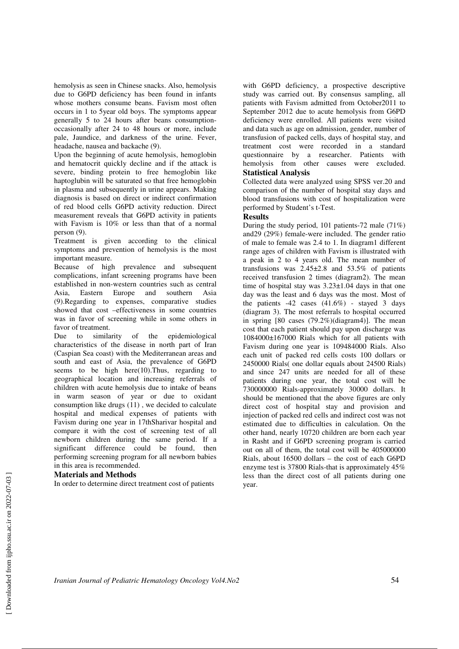hemolysis as seen in Chinese snacks. Also, hemolysis due to G6PD deficiency has been found in infants whose mothers consume beans. Favism most often occurs in 1 to 5year old boys. The symptoms appear generally 5 to 24 hours after beans consumptionoccasionally after 24 to 48 hours or more, include pale, Jaundice, and darkness of the urine. Fever, headache, nausea and backache (9).

Upon the beginning of acute hemolysis, hemoglobin and hematocrit quickly decline and if the attack is severe, binding protein to free hemoglobin like haptoglubin will be saturated so that free hemoglobin in plasma and subsequently in urine appears. Making diagnosis is based on direct or indirect confirmation of red blood cells G6PD activity reduction. Direct measurement reveals that G6PD activity in patients with Favism is 10% or less than that of a normal person (9).

Treatment is given according to the clinical symptoms and prevention of hemolysis is the most important measure.

Because of high prevalence and subsequent complications, infant screening programs have been established in non-western countries such as central Asia, Eastern Europe and southern Asia (9).Regarding to expenses, comparative studies showed that cost –effectiveness in some countries was in favor of screening while in some others in favor of treatment.

Due to similarity of the epidemiological characteristics of the disease in north part of Iran (Caspian Sea coast) with the Mediterranean areas and south and east of Asia, the prevalence of G6PD seems to be high here(10).Thus, regarding to geographical location and increasing referrals of children with acute hemolysis due to intake of beans in warm season of year or due to oxidant consumption like drugs (11) , we decided to calculate hospital and medical expenses of patients with Favism during one year in 17thSharivar hospital and compare it with the cost of screening test of all newborn children during the same period. If a significant difference could be found, then performing screening program for all newborn babies in this area is recommended.

#### **Materials and Methods**

In order to determine direct treatment cost of patients

with G6PD deficiency, a prospective descriptive study was carried out. By consensus sampling, all patients with Favism admitted from October2011 to September 2012 due to acute hemolysis from G6PD deficiency were enrolled. All patients were visited and data such as age on admission, gender, number of transfusion of packed cells, days of hospital stay, and treatment cost were recorded in a standard questionnaire by a researcher. Patients with hemolysis from other causes were excluded. **Statistical Analysis** 

Collected data were analyzed using SPSS ver.20 and comparison of the number of hospital stay days and blood transfusions with cost of hospitalization were performed by Student's t-Test.

# **Results**

During the study period, 101 patients-72 male (71%) and29 (29%) female-were included. The gender ratio of male to female was 2.4 to 1. In diagram1 different range ages of children with Favism is illustrated with a peak in 2 to 4 years old. The mean number of transfusions was  $2.45\pm2.8$  and  $53.5\%$  of patients received transfusion 2 times (diagram2). The mean time of hospital stay was  $3.23\pm1.04$  days in that one day was the least and 6 days was the most. Most of the patients  $-42$  cases  $(41.6\%)$  - stayed 3 days (diagram 3). The most referrals to hospital occurred in spring [80 cases (79.2%)(diagram4)]. The mean cost that each patient should pay upon discharge was 1084000±167000 Rials which for all patients with Favism during one year is 109484000 Rials. Also each unit of packed red cells costs 100 dollars or 2450000 Rials( one dollar equals about 24500 Rials) and since 247 units are needed for all of these patients during one year, the total cost will be 730000000 Rials-approximately 30000 dollars. It should be mentioned that the above figures are only direct cost of hospital stay and provision and injection of packed red cells and indirect cost was not estimated due to difficulties in calculation. On the other hand, nearly 10720 children are born each year in Rasht and if G6PD screening program is carried out on all of them, the total cost will be 405000000 Rials, about 16500 dollars – the cost of each G6PD enzyme test is 37800 Rials-that is approximately 45% less than the direct cost of all patients during one year.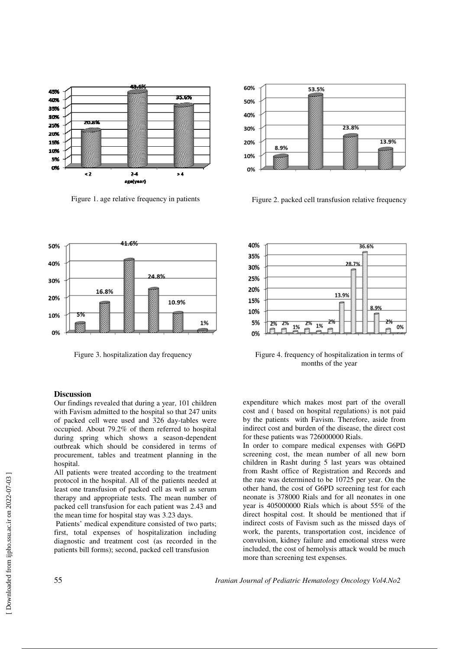





Figure 1. age relative frequency in patients Figure 2. packed cell transfusion relative frequency



Figure 3. hospitalization day frequency Figure 4. frequency of hospitalization in terms of months of the year

# **Discussion**

Our findings revealed that during a year, 101 children with Favism admitted to the hospital so that 247 units of packed cell were used and 326 day-tables were occupied. About 79.2% of them referred to hospital during spring which shows a season-dependent outbreak which should be considered in terms of procurement, tables and treatment planning in the hospital.

All patients were treated according to the treatment protocol in the hospital. All of the patients needed at least one transfusion of packed cell as well as serum therapy and appropriate tests. The mean number of packed cell transfusion for each patient was 2.43 and the mean time for hospital stay was 3.23 days.

 Patients' medical expenditure consisted of two parts; first, total expenses of hospitalization including diagnostic and treatment cost (as recorded in the patients bill forms); second, packed cell transfusion

expenditure which makes most part of the overall cost and ( based on hospital regulations) is not paid by the patients with Favism. Therefore, aside from indirect cost and burden of the disease, the direct cost for these patients was 726000000 Rials.

In order to compare medical expenses with G6PD screening cost, the mean number of all new born children in Rasht during 5 last years was obtained from Rasht office of Registration and Records and the rate was determined to be 10725 per year. On the other hand, the cost of G6PD screening test for each neonate is 378000 Rials and for all neonates in one year is 405000000 Rials which is about 55% of the direct hospital cost. It should be mentioned that if indirect costs of Favism such as the missed days of work, the parents, transportation cost, incidence of convulsion, kidney failure and emotional stress were included, the cost of hemolysis attack would be much more than screening test expenses.